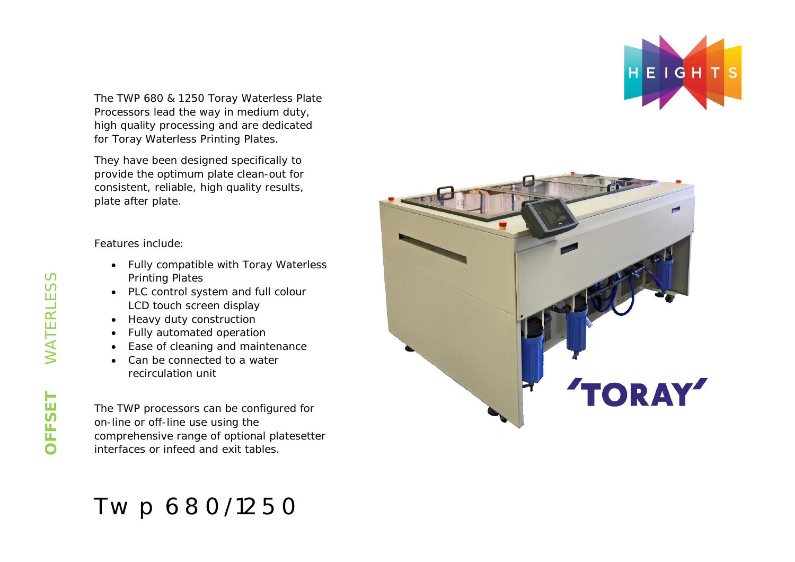The TWP 680 & 1250 Toray Waterless Plate Processors lead the way in medium duty, high quality processing and are dedicated for Toray Waterless Printing Plates.

They have been designed specifically to provide the optimum plate clean-out for consistent, reliable, high quality results, plate after plate.

Features include:

- Fully compatible with Toray Waterless Printing Plates
- PLC control system and full colour LCD touch screen display
- Heavy duty construction
- Fully automated operation
- Ease of cleaning and maintenance
- Can be connected to a water recirculation unit

The TWP processors can be configured for on-line or off-line use using the comprehensive range of optional platesetter interfaces or infeed and exit tables.

# Twp 680/1250



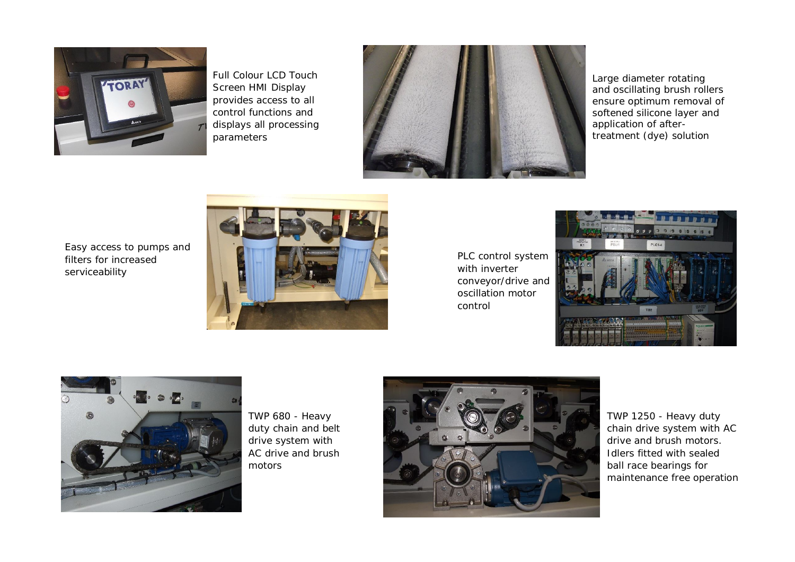

Full Colour LCD Touch Screen HMI Display provides access to all control functions and displays all processing parameters



Large diameter rotating and oscillating brush rollers ensure optimum removal of softened silicone layer and application of aftertreatment (dye) solution

Easy access to pumps and filters for increased serviceability



PLC control system with inverter conveyor/drive and oscillation motor control





TWP 680 - Heavy duty chain and belt drive system with AC drive and brush motors



TWP 1250 - Heavy duty chain drive system with AC drive and brush motors. Idlers fitted with sealed ball race bearings for maintenance free operation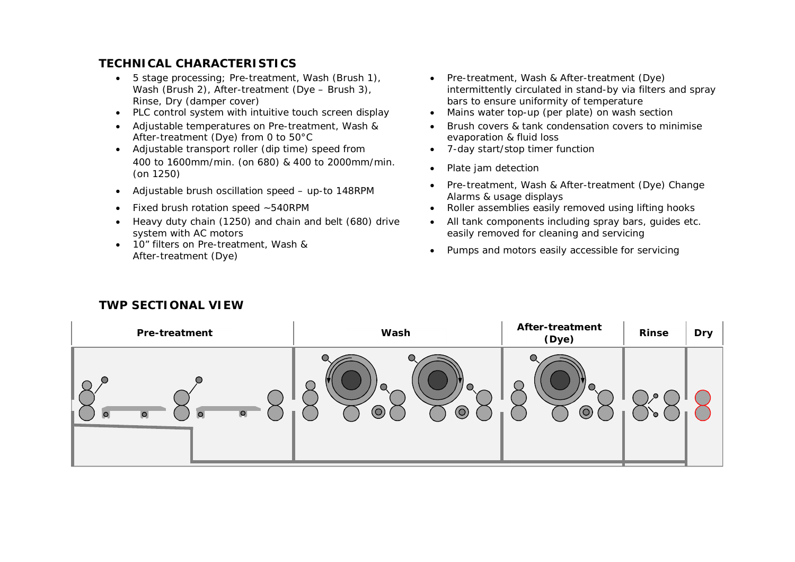## **TECHNICAL CHARACTERISTICS**

- 5 stage processing; Pre-treatment, Wash (Brush 1), Wash (Brush 2), After-treatment (Dye – Brush 3), Rinse, Dry (damper cover)
- PLC control system with intuitive touch screen display Mains water top-up (per plate) on wash section
- Adjustable temperatures on Pre-treatment, Wash & After-treatment (Dye) from 0 to 50°C
- Adjustable transport roller (dip time) speed from 7-day start/stop timer function 400 to 1600mm/min. (on 680) & 400 to 2000mm/min. (on 1250) **Plate jam detection** (on 000) & 400 to 2000mm/mm.
- 
- 
- Heavy duty chain (1250) and chain and belt (680) drive system with AC motors
- 10" filters on Pre-treatment, Wash &
- Pre-treatment, Wash & After-treatment (Dye) intermittently circulated in stand-by via filters and spray bars to ensure uniformity of temperature
- 
- Brush covers & tank condensation covers to minimise evaporation & fluid loss
- 
- 
- Adjustable brush oscillation speed up-to 148RPM Pre-treatment, Wash & After-treatment (Dye) Change Alarms & usage displays
- Fixed brush rotation speed ~540RPM Roller assemblies easily removed using lifting hooks
	- All tank components including spray bars, guides etc. easily removed for cleaning and servicing
	- TO Threis on Pre-treatment, wash &<br>After-treatment (Dye) and motors easily accessible for servicing

| Pre-treatment                                 | Wash                                                                                                          | After-treatment<br>(Dye)                  | Rinse | <b>Dry</b> |
|-----------------------------------------------|---------------------------------------------------------------------------------------------------------------|-------------------------------------------|-------|------------|
| $\bigcirc$<br>$\circ$<br>$\bullet$<br>$\circ$ | $\bullet$<br>H<br>$\bigcirc$<br>$\bullet$<br>$\bigcirc$<br>$\odot$<br>$\copyright$<br>$\overline{\mathbf{Q}}$ | $\bigcirc$<br>$\bullet$<br>$\circledcirc$ | J.    |            |

### **TWP SECTIONAL VIEW**